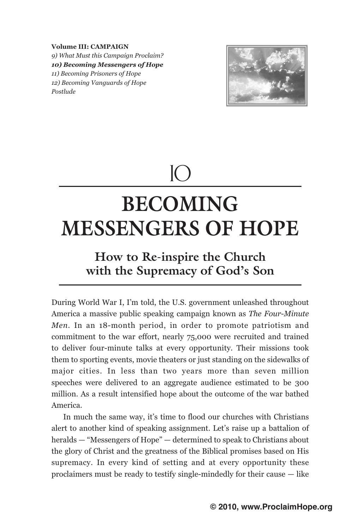**Volume III: CAMPAIGN** *9) What Must this Campaign Proclaim? 10) Becoming Messengers of Hope 11) Becoming Prisoners of Hope 12) Becoming Vanguards of Hope Postlude*



# $\bigcap$

# **BECOMING MESSENGERS OF HOPE**

# **How to Re-inspire the Church with the Supremacy of God's Son**

During World War I, I'm told, the U.S. government unleashed throughout America a massive public speaking campaign known as *The Four-Minute Men.* In an 18-month period, in order to promote patriotism and commitment to the war effort, nearly 75,000 were recruited and trained to deliver four-minute talks at every opportunity. Their missions took them to sporting events, movie theaters or just standing on the sidewalks of major cities. In less than two years more than seven million speeches were delivered to an aggregate audience estimated to be 300 million. As a result intensified hope about the outcome of the war bathed America.

In much the same way, it's time to flood our churches with Christians alert to another kind of speaking assignment. Let's raise up a battalion of heralds — "Messengers of Hope" — determined to speak to Christians about the glory of Christ and the greatness of the Biblical promises based on His supremacy. In every kind of setting and at every opportunity these proclaimers must be ready to testify single-mindedly for their cause — like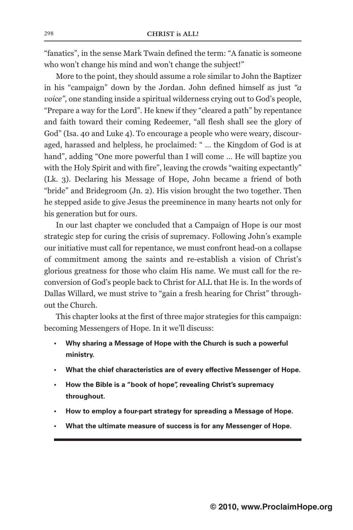"fanatics", in the sense Mark Twain defined the term: "A fanatic is someone who won't change his mind and won't change the subject!"

More to the point, they should assume a role similar to John the Baptizer in his "campaign" down by the Jordan. John defined himself as just *"a voice",* one standing inside a spiritual wilderness crying out to God's people, "Prepare a way for the Lord". He knew if they "cleared a path" by repentance and faith toward their coming Redeemer, "all flesh shall see the glory of God" (Isa. 40 and Luke 4). To encourage a people who were weary, discouraged, harassed and helpless, he proclaimed: " … the Kingdom of God is at hand", adding "One more powerful than I will come … He will baptize you with the Holy Spirit and with fire", leaving the crowds "waiting expectantly" (Lk. 3). Declaring his Message of Hope, John became a friend of both "bride" and Bridegroom (Jn. 2). His vision brought the two together. Then he stepped aside to give Jesus the preeminence in many hearts not only for his generation but for ours.

In our last chapter we concluded that a Campaign of Hope is our most strategic step for curing the crisis of supremacy. Following John's example our initiative must call for repentance, we must confront head-on a collapse of commitment among the saints and re-establish a vision of Christ's glorious greatness for those who claim His name. We must call for the reconversion of God's people back to Christ for ALL that He is. In the words of Dallas Willard, we must strive to "gain a fresh hearing for Christ" throughout the Church.

This chapter looks at the first of three major strategies for this campaign: becoming Messengers of Hope. In it we'll discuss:

- **• Why sharing a Message of Hope with the Church is such a powerful ministry.**
- **• What the chief characteristics are of every effective Messenger of Hope.**
- **• How the Bible is a "book of hope", revealing Christ's supremacy throughout.**
- **• How to employ a four-part strategy for spreading a Message of Hope.**
- **• What the ultimate measure of success is for any Messenger of Hope.**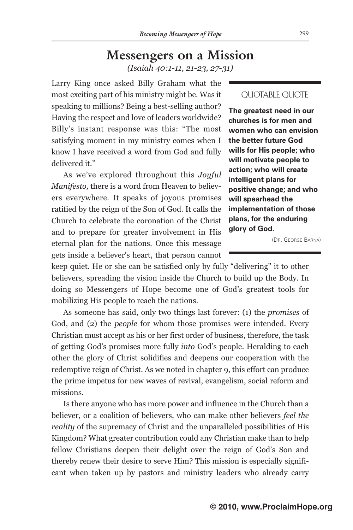# **Messengers on a Mission** *(Isaiah 40:1-11, 21-23, 27-31)*

Larry King once asked Billy Graham what the most exciting part of his ministry might be. Was it speaking to millions? Being a best-selling author? Having the respect and love of leaders worldwide? Billy's instant response was this: "The most satisfying moment in my ministry comes when I know I have received a word from God and fully delivered it."

As we've explored throughout this *Joyful Manifesto,* there is a word from Heaven to believers everywhere. It speaks of joyous promises ratified by the reign of the Son of God. It calls the Church to celebrate the coronation of the Christ and to prepare for greater involvement in His eternal plan for the nations. Once this message gets inside a believer's heart, that person cannot

#### QUOTABLE QUOTE

**The greatest need in our churches is for men and women who can envision the better future God wills for His people; who will motivate people to action; who will create intelligent plans for positive change; and who will spearhead the implementation of those plans, for the enduring glory of God.**

(DR. GEORGE BARNA)

keep quiet. He or she can be satisfied only by fully "delivering" it to other believers, spreading the vision inside the Church to build up the Body. In doing so Messengers of Hope become one of God's greatest tools for mobilizing His people to reach the nations.

As someone has said, only two things last forever: (1) the *promises* of God, and (2) the *people* for whom those promises were intended. Every Christian must accept as his or her first order of business, therefore, the task of getting God's promises more fully *into* God's people. Heralding to each other the glory of Christ solidifies and deepens our cooperation with the redemptive reign of Christ. As we noted in chapter 9, this effort can produce the prime impetus for new waves of revival, evangelism, social reform and missions.

Is there anyone who has more power and influence in the Church than a believer, or a coalition of believers, who can make other believers *feel the reality* of the supremacy of Christ and the unparalleled possibilities of His Kingdom? What greater contribution could any Christian make than to help fellow Christians deepen their delight over the reign of God's Son and thereby renew their desire to serve Him? This mission is especially significant when taken up by pastors and ministry leaders who already carry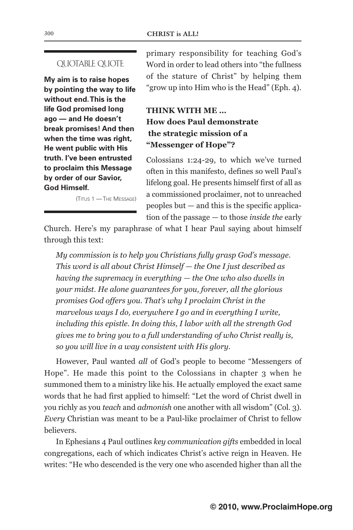#### QUOTABLE QUOTE

**My aim is to raise hopes by pointing the way to life without end.This is the life God promised long ago — and He doesn't break promises! And then when the time was right, He went public with His truth. I've been entrusted to proclaim this Message by order of our Savior, God Himself.**

(TITUS 1 —THE MESSAGE)

primary responsibility for teaching God's Word in order to lead others into "the fullness of the stature of Christ" by helping them "grow up into Him who is the Head" (Eph. 4).

# **THINK WITH ME … How does Paul demonstrate the strategic mission of a "Messenger of Hope"?**

Colossians 1:24-29, to which we've turned often in this manifesto, defines so well Paul's lifelong goal. He presents himself first of all as a commissioned proclaimer, not to unreached peoples but — and this is the specific application of the passage — to those *inside the* early

Church. Here's my paraphrase of what I hear Paul saying about himself through this text:

*My commission is to help you Christians fully grasp God's message. This word is all about Christ Himself — the One I just described as having the supremacy in everything — the One who also dwells in your midst. He alone guarantees for you, forever, all the glorious promises God offers you. That's why I proclaim Christ in the marvelous ways I do, everywhere I go and in everything I write, including this epistle. In doing this, I labor with all the strength God gives me to bring you to a full understanding of who Christ really is, so you will live in a way consistent with His glory.*

However, Paul wanted *all* of God's people to become "Messengers of Hope". He made this point to the Colossians in chapter 3 when he summoned them to a ministry like his. He actually employed the exact same words that he had first applied to himself: "Let the word of Christ dwell in you richly as you *teach* and *admonish* one another with all wisdom" (Col. 3). *Every* Christian was meant to be a Paul-like proclaimer of Christ to fellow believers.

In Ephesians 4 Paul outlines *key communication gifts* embedded in local congregations, each of which indicates Christ's active reign in Heaven. He writes: "He who descended is the very one who ascended higher than all the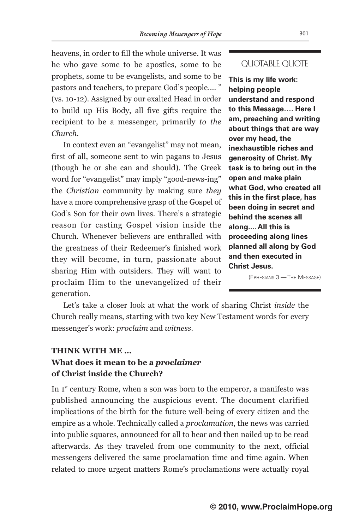heavens, in order to fill the whole universe. It was he who gave some to be apostles, some to be prophets, some to be evangelists, and some to be pastors and teachers, to prepare God's people…. " (vs. 10-12). Assigned by our exalted Head in order to build up His Body, all five gifts require the recipient to be a messenger, primarily *to the Church.*

In context even an "evangelist" may not mean, first of all, someone sent to win pagans to Jesus (though he or she can and should). The Greek word for "evangelist" may imply "good-news-ing" the *Christian* community by making sure *they* have a more comprehensive grasp of the Gospel of God's Son for their own lives. There's a strategic reason for casting Gospel vision inside the Church. Whenever believers are enthralled with the greatness of their Redeemer's finished work they will become, in turn, passionate about sharing Him with outsiders. They will want to proclaim Him to the unevangelized of their generation.

#### QUOTABLE QUOTE

**This is my life work: helping people understand and respond to this Message…. Here I am, preaching and writing about things that are way over my head, the inexhaustible riches and generosity of Christ. My task is to bring out in the open and make plain what God, who created all this in the first place, has been doing in secret and behind the scenes all along.... All this is proceeding along lines planned all along by God and then executed in Christ Jesus.**

(EPHESIANS 3 —THE MESSAGE)

Let's take a closer look at what the work of sharing Christ *inside* the Church really means, starting with two key New Testament words for every messenger's work: *proclaim* and *witness*.

### **THINK WITH ME … What does it mean to be a** *proclaimer* **of Christ inside the Church?**

In  $1<sup>st</sup>$  century Rome, when a son was born to the emperor, a manifesto was published announcing the auspicious event. The document clarified implications of the birth for the future well-being of every citizen and the empire as a whole. Technically called a *proclamation*, the news was carried into public squares, announced for all to hear and then nailed up to be read afterwards. As they traveled from one community to the next, official messengers delivered the same proclamation time and time again. When related to more urgent matters Rome's proclamations were actually royal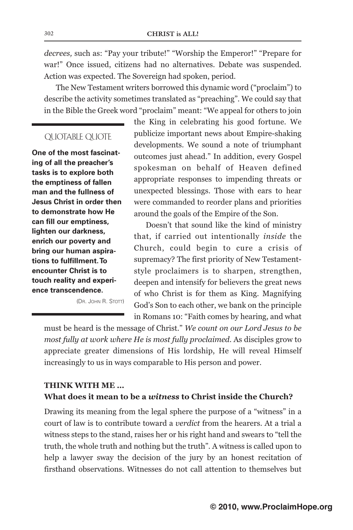*decrees,* such as: "Pay your tribute!" "Worship the Emperor!" "Prepare for war!" Once issued, citizens had no alternatives. Debate was suspended. Action was expected. The Sovereign had spoken, period.

The New Testament writers borrowed this dynamic word ("proclaim") to describe the activity sometimes translated as "preaching". We could say that in the Bible the Greek word "proclaim" meant: "We appeal for others to join

#### QUOTABLE QUOTE

**One of the most fascinating of all the preacher's tasks is to explore both the emptiness of fallen man and the fullness of Jesus Christ in order then to demonstrate how He can fill our emptiness, lighten our darkness, enrich our poverty and bring our human aspirations to fulfillment.To encounter Christ is to touch reality and experience transcendence.**

(DR. JOHN R. STOTT)

the King in celebrating his good fortune. We publicize important news about Empire-shaking developments. We sound a note of triumphant outcomes just ahead." In addition, every Gospel spokesman on behalf of Heaven defined appropriate responses to impending threats or unexpected blessings. Those with ears to hear were commanded to reorder plans and priorities around the goals of the Empire of the Son.

Doesn't that sound like the kind of ministry that, if carried out intentionally *inside* the Church, could begin to cure a crisis of supremacy? The first priority of New Testamentstyle proclaimers is to sharpen, strengthen, deepen and intensify for believers the great news of who Christ is for them as King. Magnifying God's Son to each other, we bank on the principle in Romans 10: "Faith comes by hearing, and what

must be heard is the message of Christ." *We count on our Lord Jesus to be most fully at work where He is most fully proclaimed.* As disciples grow to appreciate greater dimensions of His lordship, He will reveal Himself increasingly to us in ways comparable to His person and power.

#### **THINK WITH ME … What does it mean to be a** *witness* **to Christ inside the Church?**

Drawing its meaning from the legal sphere the purpose of a "witness" in a court of law is to contribute toward a *verdict* from the hearers. At a trial a witness steps to the stand, raises her or his right hand and swears to "tell the truth, the whole truth and nothing but the truth". A witness is called upon to help a lawyer sway the decision of the jury by an honest recitation of firsthand observations. Witnesses do not call attention to themselves but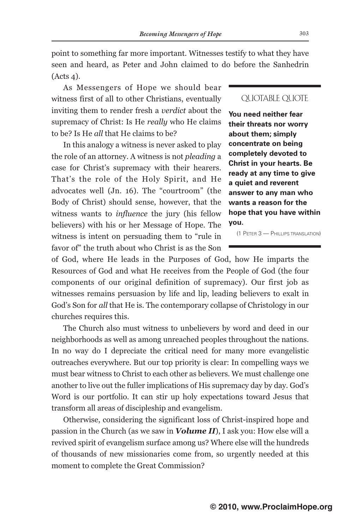point to something far more important. Witnesses testify to what they have seen and heard, as Peter and John claimed to do before the Sanhedrin (Acts 4).

As Messengers of Hope we should bear witness first of all to other Christians, eventually inviting them to render fresh a *verdict* about the supremacy of Christ: Is He *really* who He claims to be? Is He *all* that He claims to be?

In this analogy a witness is never asked to play the role of an attorney. A witness is not *pleading* a case for Christ's supremacy with their hearers. That's the role of the Holy Spirit, and He advocates well (Jn. 16). The "courtroom" (the Body of Christ) should sense, however, that the witness wants to *influence* the jury (his fellow believers) with his or her Message of Hope. The witness is intent on persuading them to "rule in favor of" the truth about who Christ is as the Son

#### QUOTABLE QUOTE

**You need neither fear their threats nor worry about them; simply concentrate on being completely devoted to Christ in your hearts. Be ready at any time to give a quiet and reverent answer to any man who wants a reason for the hope that you have within you.**

(1 PETER 3 — PHILLIPS TRANSLATION)

of God, where He leads in the Purposes of God, how He imparts the Resources of God and what He receives from the People of God (the four components of our original definition of supremacy). Our first job as witnesses remains persuasion by life and lip, leading believers to exalt in God's Son for *all* that He is. The contemporary collapse of Christology in our churches requires this.

The Church also must witness to unbelievers by word and deed in our neighborhoods as well as among unreached peoples throughout the nations. In no way do I depreciate the critical need for many more evangelistic outreaches everywhere. But our top priority is clear: In compelling ways we must bear witness to Christ to each other as believers. We must challenge one another to live out the fuller implications of His supremacy day by day. God's Word is our portfolio. It can stir up holy expectations toward Jesus that transform all areas of discipleship and evangelism.

Otherwise, considering the significant loss of Christ-inspired hope and passion in the Church (as we saw in *Volume II*), I ask you: How else will a revived spirit of evangelism surface among us? Where else will the hundreds of thousands of new missionaries come from, so urgently needed at this moment to complete the Great Commission?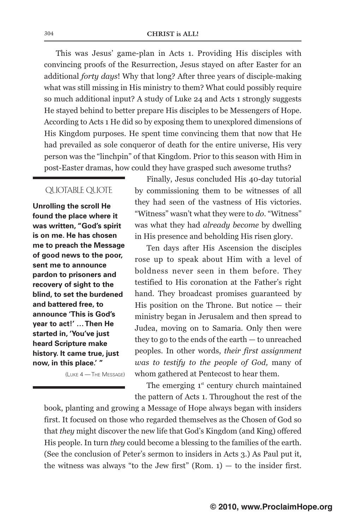This was Jesus' game-plan in Acts 1. Providing His disciples with convincing proofs of the Resurrection, Jesus stayed on after Easter for an additional *forty days*! Why that long? After three years of disciple-making what was still missing in His ministry to them? What could possibly require so much additional input? A study of Luke 24 and Acts 1 strongly suggests He stayed behind to better prepare His disciples to be Messengers of Hope. According to Acts 1 He did so by exposing them to unexplored dimensions of His Kingdom purposes. He spent time convincing them that now that He had prevailed as sole conqueror of death for the entire universe, His very person was the "linchpin" of that Kingdom. Prior to this season with Him in post-Easter dramas, how could they have grasped such awesome truths?

#### QUOTABLE QUOTE

**Unrolling the scroll He found the place where it was written, "God's spirit is on me. He has chosen me to preach the Message of good news to the poor, sent me to announce pardon to prisoners and recovery of sight to the blind, to set the burdened and battered free, to announce 'This is God's year to act!' …Then He started in, 'You've just heard Scripture make history. It came true, just now, in this place.' "**

(LUKE 4 —THE MESSAGE)

Finally, Jesus concluded His 40-day tutorial by commissioning them to be witnesses of all they had seen of the vastness of His victories. "Witness" wasn't what they were to *do*. "Witness" was what they had *already become* by dwelling in His presence and beholding His risen glory.

Ten days after His Ascension the disciples rose up to speak about Him with a level of boldness never seen in them before. They testified to His coronation at the Father's right hand. They broadcast promises guaranteed by His position on the Throne. But notice — their ministry began in Jerusalem and then spread to Judea, moving on to Samaria. Only then were they to go to the ends of the earth — to unreached peoples. In other words, *their first assignment was to testify to the people of God,* many of whom gathered at Pentecost to hear them.

The emerging 1<sup>st</sup> century church maintained the pattern of Acts 1. Throughout the rest of the

book, planting and growing a Message of Hope always began with insiders first. It focused on those who regarded themselves as the Chosen of God so that *they* might discover the new life that God's Kingdom (and King) offered His people. In turn *they* could become a blessing to the families of the earth. (See the conclusion of Peter's sermon to insiders in Acts 3.) As Paul put it, the witness was always "to the Jew first"  $(Rom. 1) -$  to the insider first.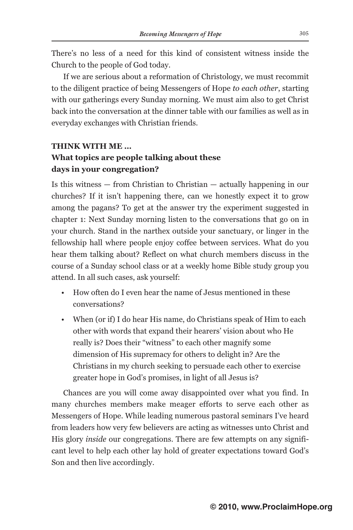There's no less of a need for this kind of consistent witness inside the Church to the people of God today.

If we are serious about a reformation of Christology, we must recommit to the diligent practice of being Messengers of Hope *to each other*, starting with our gatherings every Sunday morning. We must aim also to get Christ back into the conversation at the dinner table with our families as well as in everyday exchanges with Christian friends.

## **THINK WITH ME … What topics are people talking about these days in your congregation?**

Is this witness — from Christian to Christian — actually happening in our churches? If it isn't happening there, can we honestly expect it to grow among the pagans? To get at the answer try the experiment suggested in chapter 1: Next Sunday morning listen to the conversations that go on in your church. Stand in the narthex outside your sanctuary, or linger in the fellowship hall where people enjoy coffee between services. What do you hear them talking about? Reflect on what church members discuss in the course of a Sunday school class or at a weekly home Bible study group you attend. In all such cases, ask yourself:

- How often do I even hear the name of Jesus mentioned in these conversations?
- When (or if) I do hear His name, do Christians speak of Him to each other with words that expand their hearers' vision about who He really is? Does their "witness" to each other magnify some dimension of His supremacy for others to delight in? Are the Christians in my church seeking to persuade each other to exercise greater hope in God's promises, in light of all Jesus is?

Chances are you will come away disappointed over what you find. In many churches members make meager efforts to serve each other as Messengers of Hope. While leading numerous pastoral seminars I've heard from leaders how very few believers are acting as witnesses unto Christ and His glory *inside* our congregations. There are few attempts on any significant level to help each other lay hold of greater expectations toward God's Son and then live accordingly.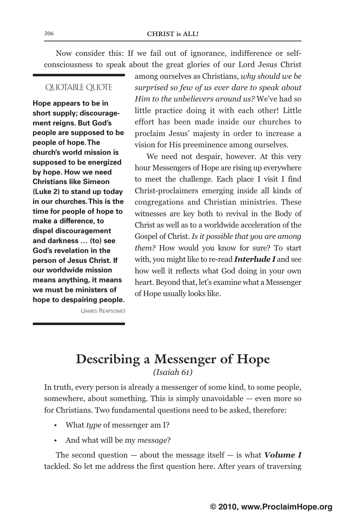Now consider this: If we fail out of ignorance, indifference or selfconsciousness to speak about the great glories of our Lord Jesus Christ

QUOTABLE QUOTE

**Hope appears to be in short supply; discouragement reigns. But God's people are supposed to be people of hope.The church's world mission is supposed to be energized by hope. How we need Christians like Simeon (Luke 2) to stand up today in our churches.This is the time for people of hope to make a difference, to dispel discouragement and darkness … (to) see God's revelation in the person of Jesus Christ. If our worldwide mission means anything, it means we must be ministers of hope to despairing people.** among ourselves as Christians, *why should we be surprised so few of us ever dare to speak about Him to the unbelievers around us?* We've had so little practice doing it with each other! Little effort has been made inside our churches to proclaim Jesus' majesty in order to increase a vision for His preeminence among ourselves.

We need not despair, however. At this very hour Messengers of Hope are rising up everywhere to meet the challenge. Each place I visit I find Christ-proclaimers emerging inside all kinds of congregations and Christian ministries. These witnesses are key both to revival in the Body of Christ as well as to a worldwide acceleration of the Gospel of Christ. *Is it possible that you are among them?* How would you know for sure? To start with, you might like to re-read *Interlude I* and see how well it reflects what God doing in your own heart. Beyond that, let's examine what a Messenger of Hope usually looks like.

(JAMES REAPSOME)

# **Describing a Messenger of Hope** *(Isaiah 61)*

In truth, every person is already a messenger of some kind, to some people, somewhere, about something. This is simply unavoidable — even more so for Christians. Two fundamental questions need to be asked, therefore:

- What *type* of messenger am I?
- And what will be my *message*?

The second question  $-$  about the message itself  $-$  is what **Volume I** tackled. So let me address the first question here. After years of traversing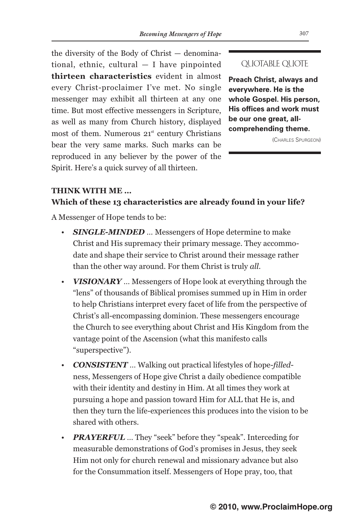the diversity of the Body of Christ — denominational, ethnic, cultural — I have pinpointed **thirteen characteristics** evident in almost every Christ-proclaimer I've met. No single messenger may exhibit all thirteen at any one time. But most effective messengers in Scripture, as well as many from Church history, displayed most of them. Numerous  $21<sup>st</sup>$  century Christians bear the very same marks. Such marks can be reproduced in any believer by the power of the Spirit. Here's a quick survey of all thirteen.

#### QUOTABLE QUOTE

**Preach Christ, always and everywhere. He is the whole Gospel. His person, His offices and work must be our one great, allcomprehending theme.**

(CHARLES SPURGEON)

#### **THINK WITH ME …**

#### **Which of these 13 characteristics are already found in your life?**

A Messenger of Hope tends to be:

- *SINGLE-MINDED* … Messengers of Hope determine to make Christ and His supremacy their primary message. They accommodate and shape their service to Christ around their message rather than the other way around. For them Christ is truly *all*.
- *VISIONARY* … Messengers of Hope look at everything through the "lens" of thousands of Biblical promises summed up in Him in order to help Christians interpret every facet of life from the perspective of Christ's all-encompassing dominion. These messengers encourage the Church to see everything about Christ and His Kingdom from the vantage point of the Ascension (what this manifesto calls "superspective").
- *CONSISTENT* … Walking out practical lifestyles of hope-*filled*ness, Messengers of Hope give Christ a daily obedience compatible with their identity and destiny in Him. At all times they work at pursuing a hope and passion toward Him for ALL that He is, and then they turn the life-experiences this produces into the vision to be shared with others.
- **PRAYERFUL** ... They "seek" before they "speak". Interceding for measurable demonstrations of God's promises in Jesus, they seek Him not only for church renewal and missionary advance but also for the Consummation itself. Messengers of Hope pray, too, that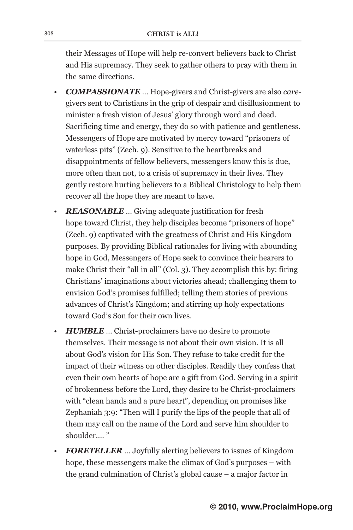their Messages of Hope will help re-convert believers back to Christ and His supremacy. They seek to gather others to pray with them in the same directions.

- *COMPASSIONATE* … Hope-givers and Christ-givers are also *care*givers sent to Christians in the grip of despair and disillusionment to minister a fresh vision of Jesus' glory through word and deed. Sacrificing time and energy, they do so with patience and gentleness. Messengers of Hope are motivated by mercy toward "prisoners of waterless pits" (Zech. 9). Sensitive to the heartbreaks and disappointments of fellow believers, messengers know this is due, more often than not, to a crisis of supremacy in their lives. They gently restore hurting believers to a Biblical Christology to help them recover all the hope they are meant to have.
- *REASONABLE* … Giving adequate justification for fresh hope toward Christ, they help disciples become "prisoners of hope" (Zech. 9) captivated with the greatness of Christ and His Kingdom purposes. By providing Biblical rationales for living with abounding hope in God, Messengers of Hope seek to convince their hearers to make Christ their "all in all" (Col. 3). They accomplish this by: firing Christians' imaginations about victories ahead; challenging them to envision God's promises fulfilled; telling them stories of previous advances of Christ's Kingdom; and stirring up holy expectations toward God's Son for their own lives.
- *HUMBLE* … Christ-proclaimers have no desire to promote themselves. Their message is not about their own vision. It is all about God's vision for His Son. They refuse to take credit for the impact of their witness on other disciples. Readily they confess that even their own hearts of hope are a gift from God. Serving in a spirit of brokenness before the Lord, they desire to be Christ-proclaimers with "clean hands and a pure heart", depending on promises like Zephaniah 3:9: "Then will I purify the lips of the people that all of them may call on the name of the Lord and serve him shoulder to shoulder.… "
- *FORETELLER* … Joyfully alerting believers to issues of Kingdom hope, these messengers make the climax of God's purposes – with the grand culmination of Christ's global cause – a major factor in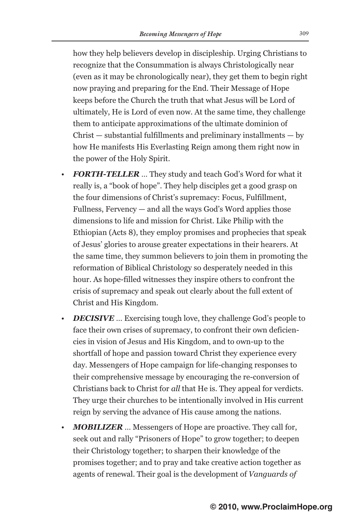how they help believers develop in discipleship. Urging Christians to recognize that the Consummation is always Christologically near (even as it may be chronologically near), they get them to begin right now praying and preparing for the End. Their Message of Hope keeps before the Church the truth that what Jesus will be Lord of ultimately, He is Lord of even now. At the same time, they challenge them to anticipate approximations of the ultimate dominion of  $Christ - substantial fullments and preliminary installments - by$ how He manifests His Everlasting Reign among them right now in the power of the Holy Spirit.

- *FORTH-TELLER* … They study and teach God's Word for what it really is, a "book of hope". They help disciples get a good grasp on the four dimensions of Christ's supremacy: Focus, Fulfillment, Fullness, Fervency — and all the ways God's Word applies those dimensions to life and mission for Christ. Like Philip with the Ethiopian (Acts 8), they employ promises and prophecies that speak of Jesus' glories to arouse greater expectations in their hearers. At the same time, they summon believers to join them in promoting the reformation of Biblical Christology so desperately needed in this hour. As hope-filled witnesses they inspire others to confront the crisis of supremacy and speak out clearly about the full extent of Christ and His Kingdom.
- *DECISIVE* ... Exercising tough love, they challenge God's people to face their own crises of supremacy, to confront their own deficiencies in vision of Jesus and His Kingdom, and to own-up to the shortfall of hope and passion toward Christ they experience every day. Messengers of Hope campaign for life-changing responses to their comprehensive message by encouraging the re-conversion of Christians back to Christ for *all* that He is. They appeal for verdicts. They urge their churches to be intentionally involved in His current reign by serving the advance of His cause among the nations.
- *MOBILIZER* … Messengers of Hope are proactive. They call for, seek out and rally "Prisoners of Hope" to grow together; to deepen their Christology together; to sharpen their knowledge of the promises together; and to pray and take creative action together as agents of renewal. Their goal is the development of *Vanguards of*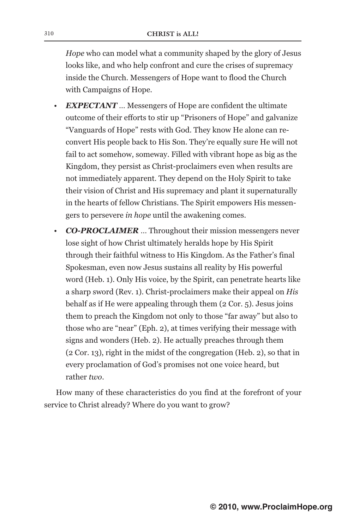*Hope* who can model what a community shaped by the glory of Jesus looks like, and who help confront and cure the crises of supremacy inside the Church. Messengers of Hope want to flood the Church with Campaigns of Hope.

- *EXPECTANT* ... Messengers of Hope are confident the ultimate outcome of their efforts to stir up "Prisoners of Hope" and galvanize "Vanguards of Hope" rests with God. They know He alone can reconvert His people back to His Son. They're equally sure He will not fail to act somehow, someway. Filled with vibrant hope as big as the Kingdom, they persist as Christ-proclaimers even when results are not immediately apparent. They depend on the Holy Spirit to take their vision of Christ and His supremacy and plant it supernaturally in the hearts of fellow Christians. The Spirit empowers His messengers to persevere *in hope* until the awakening comes.
- *CO-PROCLAIMER* … Throughout their mission messengers never lose sight of how Christ ultimately heralds hope by His Spirit through their faithful witness to His Kingdom. As the Father's final Spokesman, even now Jesus sustains all reality by His powerful word (Heb. 1). Only His voice, by the Spirit, can penetrate hearts like a sharp sword (Rev. 1). Christ-proclaimers make their appeal on *His* behalf as if He were appealing through them (2 Cor. 5). Jesus joins them to preach the Kingdom not only to those "far away" but also to those who are "near" (Eph. 2), at times verifying their message with signs and wonders (Heb. 2). He actually preaches through them (2 Cor. 13), right in the midst of the congregation (Heb. 2), so that in every proclamation of God's promises not one voice heard, but rather *two*.

How many of these characteristics do you find at the forefront of your service to Christ already? Where do you want to grow?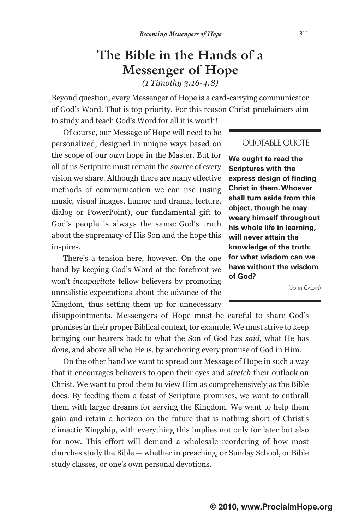# **The Bible in the Hands of a Messenger of Hope**

*(1 Timothy 3:16-4:8)*

Beyond question, every Messenger of Hope is a card-carrying communicator of God's Word. That is top priority. For this reason Christ-proclaimers aim to study and teach God's Word for all it is worth!

Of course, our Message of Hope will need to be personalized, designed in unique ways based on the scope of our *own* hope in the Master. But for all of us Scripture must remain the *source* of every vision we share. Although there are many effective methods of communication we can use (using music, visual images, humor and drama, lecture, dialog or PowerPoint), our fundamental gift to God's people is always the same: God's truth about the supremacy of His Son and the hope this inspires.

There's a tension here, however. On the one hand by keeping God's Word at the forefront we won't *incapacitate* fellow believers by promoting unrealistic expectations about the advance of the Kingdom, thus setting them up for unnecessary

disappointments. Messengers of Hope must be careful to share God's promises in their proper Biblical context, for example. We must strive to keep bringing our hearers back to what the Son of God has *said,* what He has *done,* and above all who He *is,* by anchoring every promise of God in Him.

On the other hand we want to spread our Message of Hope in such a way that it encourages believers to open their eyes and *stretch* their outlook on Christ. We want to prod them to view Him as comprehensively as the Bible does. By feeding them a feast of Scripture promises, we want to enthrall them with larger dreams for serving the Kingdom. We want to help them gain and retain a horizon on the future that is nothing short of Christ's climactic Kingship, with everything this implies not only for later but also for now. This effort will demand a wholesale reordering of how most churches study the Bible — whether in preaching, or Sunday School, or Bible study classes, or one's own personal devotions.

# QUOTABLE QUOTE

**We ought to read the Scriptures with the express design of finding Christ in them.Whoever shall turn aside from this object, though he may weary himself throughout his whole life in learning, will never attain the knowledge of the truth: for what wisdom can we have without the wisdom of God?**

(JOHN CALVIN)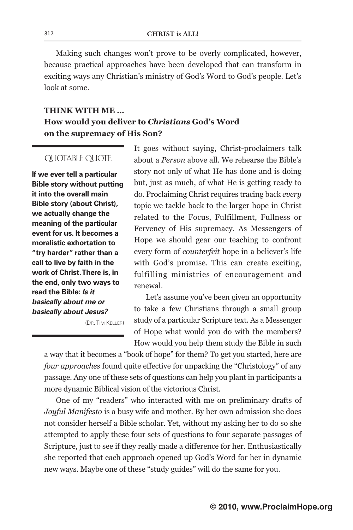Making such changes won't prove to be overly complicated, however, because practical approaches have been developed that can transform in exciting ways any Christian's ministry of God's Word to God's people. Let's look at some.

#### **THINK WITH ME …**

## **How would you deliver to** *Christians* **God's Word on the supremacy of His Son?**

#### QUOTABLE QUOTE

**If we ever tell a particular Bible story without putting it into the overall main Bible story (about Christ), we actually change the meaning of the particular event for us. It becomes a moralistic exhortation to "try harder" rather than a call to live by faith in the work of Christ.There is, in the end, only two ways to read the Bible:** *Is it basically about me or basically about Jesus?*

(DR. TIM KELLER)

It goes without saying, Christ-proclaimers talk about a *Person* above all. We rehearse the Bible's story not only of what He has done and is doing but, just as much, of what He is getting ready to do. Proclaiming Christ requires tracing back *every* topic we tackle back to the larger hope in Christ related to the Focus, Fulfillment, Fullness or Fervency of His supremacy. As Messengers of Hope we should gear our teaching to confront every form of *counterfeit* hope in a believer's life with God's promise. This can create exciting, fulfilling ministries of encouragement and renewal.

Let's assume you've been given an opportunity to take a few Christians through a small group study of a particular Scripture text. As a Messenger of Hope what would you do with the members? How would you help them study the Bible in such

a way that it becomes a "book of hope" for them? To get you started, here are *four approaches* found quite effective for unpacking the "Christology" of any passage. Any one of these sets of questions can help you plant in participants a more dynamic Biblical vision of the victorious Christ.

One of my "readers" who interacted with me on preliminary drafts of *Joyful Manifesto* is a busy wife and mother. By her own admission she does not consider herself a Bible scholar. Yet, without my asking her to do so she attempted to apply these four sets of questions to four separate passages of Scripture, just to see if they really made a difference for her. Enthusiastically she reported that each approach opened up God's Word for her in dynamic new ways. Maybe one of these "study guides" will do the same for you.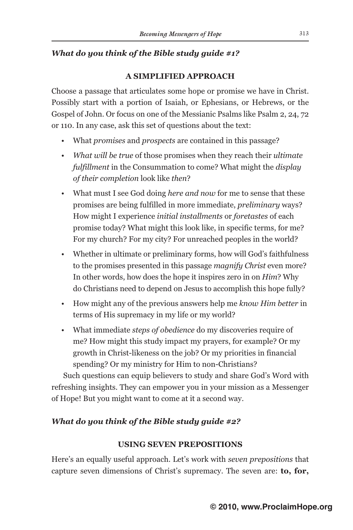### *What do you think of the Bible study guide #1?*

#### **A SIMPLIFIED APPROACH**

Choose a passage that articulates some hope or promise we have in Christ. Possibly start with a portion of Isaiah, or Ephesians, or Hebrews, or the Gospel of John. Or focus on one of the Messianic Psalms like Psalm 2, 24, 72 or 110. In any case, ask this set of questions about the text:

- What *promises* and *prospects* are contained in this passage?
- *What will be true* of those promises when they reach their *ultimate fulfillment* in the Consummation to come? What might the *display of their completion* look like *then*?
- What must I see God doing *here and now* for me to sense that these promises are being fulfilled in more immediate, *preliminary* ways? How might I experience *initial installments* or *foretastes* of each promise today? What might this look like, in specific terms, for me? For my church? For my city? For unreached peoples in the world?
- Whether in ultimate or preliminary forms, how will God's faithfulness to the promises presented in this passage *magnify Christ* even more? In other words, how does the hope it inspires zero in on *Him*? Why do Christians need to depend on Jesus to accomplish this hope fully?
- How might any of the previous answers help me *know Him better* in terms of His supremacy in my life or my world?
- What immediate *steps of obedience* do my discoveries require of me? How might this study impact my prayers, for example? Or my growth in Christ-likeness on the job? Or my priorities in financial spending? Or my ministry for Him to non-Christians?

Such questions can equip believers to study and share God's Word with refreshing insights. They can empower you in your mission as a Messenger of Hope! But you might want to come at it a second way.

#### *What do you think of the Bible study guide #2?*

#### **USING SEVEN PREPOSITIONS**

Here's an equally useful approach. Let's work with *seven prepositions* that capture seven dimensions of Christ's supremacy. The seven are: **to, for,**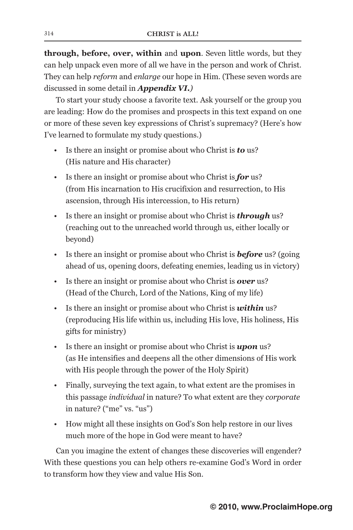**through, before, over, within** and **upon**. Seven little words, but they can help unpack even more of all we have in the person and work of Christ. They can help *reform* and *enlarge* our hope in Him. (These seven words are discussed in some detail in *Appendix VI.)*

To start your study choose a favorite text. Ask yourself or the group you are leading: How do the promises and prospects in this text expand on one or more of these seven key expressions of Christ's supremacy? (Here's how I've learned to formulate my study questions.)

- Is there an insight or promise about who Christ is *to* us? (His nature and His character)
- Is there an insight or promise about who Christ is *for* us? (from His incarnation to His crucifixion and resurrection, to His ascension, through His intercession, to His return)
- Is there an insight or promise about who Christ is *through* us? (reaching out to the unreached world through us, either locally or beyond)
- Is there an insight or promise about who Christ is *before* us? (going ahead of us, opening doors, defeating enemies, leading us in victory)
- Is there an insight or promise about who Christ is *over* us? (Head of the Church, Lord of the Nations, King of my life)
- Is there an insight or promise about who Christ is *within* us? (reproducing His life within us, including His love, His holiness, His gifts for ministry)
- Is there an insight or promise about who Christ is *upon* us? (as He intensifies and deepens all the other dimensions of His work with His people through the power of the Holy Spirit)
- Finally, surveying the text again, to what extent are the promises in this passage *individual* in nature? To what extent are they *corporate* in nature? ("me" vs. "us")
- How might all these insights on God's Son help restore in our lives much more of the hope in God were meant to have?

Can you imagine the extent of changes these discoveries will engender? With these questions you can help others re-examine God's Word in order to transform how they view and value His Son.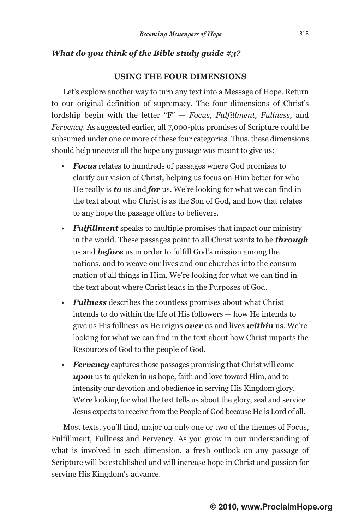#### *What do you think of the Bible study guide #3?*

#### **USING THE FOUR DIMENSIONS**

Let's explore another way to turn any text into a Message of Hope. Return to our original definition of supremacy. The four dimensions of Christ's lordship begin with the letter "F" — *Focus, Fulfillment, Fullness,* and *Fervency*. As suggested earlier, all 7,000-plus promises of Scripture could be subsumed under one or more of these four categories. Thus, these dimensions should help uncover all the hope any passage was meant to give us:

- *Focus* relates to hundreds of passages where God promises to clarify our vision of Christ, helping us focus on Him better for who He really is *to* us and *for* us. We're looking for what we can find in the text about who Christ is as the Son of God, and how that relates to any hope the passage offers to believers.
- *Fulfillment* speaks to multiple promises that impact our ministry in the world. These passages point to all Christ wants to be *through* us and *before* us in order to fulfill God's mission among the nations, and to weave our lives and our churches into the consummation of all things in Him. We're looking for what we can find in the text about where Christ leads in the Purposes of God.
- *Fullness* describes the countless promises about what Christ intends to do within the life of His followers — how He intends to give us His fullness as He reigns *over* us and lives *within* us. We're looking for what we can find in the text about how Christ imparts the Resources of God to the people of God.
- *Fervency* captures those passages promising that Christ will come *upon* us to quicken in us hope, faith and love toward Him, and to intensify our devotion and obedience in serving His Kingdom glory. We're looking for what the text tells us about the glory, zeal and service Jesus expects to receive from the People of God because He is Lord of all.

Most texts, you'll find, major on only one or two of the themes of Focus, Fulfillment, Fullness and Fervency. As you grow in our understanding of what is involved in each dimension, a fresh outlook on any passage of Scripture will be established and will increase hope in Christ and passion for serving His Kingdom's advance.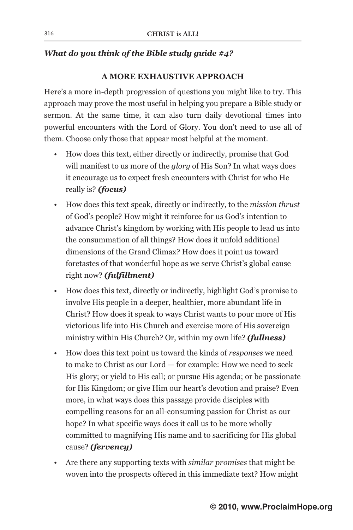#### *What do you think of the Bible study guide #4?*

#### **A MORE EXHAUSTIVE APPROACH**

Here's a more in-depth progression of questions you might like to try. This approach may prove the most useful in helping you prepare a Bible study or sermon. At the same time, it can also turn daily devotional times into powerful encounters with the Lord of Glory. You don't need to use all of them. Choose only those that appear most helpful at the moment.

- How does this text, either directly or indirectly, promise that God will manifest to us more of the *glory* of His Son? In what ways does it encourage us to expect fresh encounters with Christ for who He really is? *(focus)*
- How does this text speak, directly or indirectly, to the *mission thrust* of God's people? How might it reinforce for us God's intention to advance Christ's kingdom by working with His people to lead us into the consummation of all things? How does it unfold additional dimensions of the Grand Climax? How does it point us toward foretastes of that wonderful hope as we serve Christ's global cause right now? *(fulfillment)*
- How does this text, directly or indirectly, highlight God's promise to involve His people in a deeper, healthier, more abundant life in Christ? How does it speak to ways Christ wants to pour more of His victorious life into His Church and exercise more of His sovereign ministry within His Church? Or, within my own life? *(fullness)*
- How does this text point us toward the kinds of *responses* we need to make to Christ as our Lord — for example: How we need to seek His glory; or yield to His call; or pursue His agenda; or be passionate for His Kingdom; or give Him our heart's devotion and praise? Even more, in what ways does this passage provide disciples with compelling reasons for an all-consuming passion for Christ as our hope? In what specific ways does it call us to be more wholly committed to magnifying His name and to sacrificing for His global cause? *(fervency)*
- Are there any supporting texts with *similar promises* that might be woven into the prospects offered in this immediate text? How might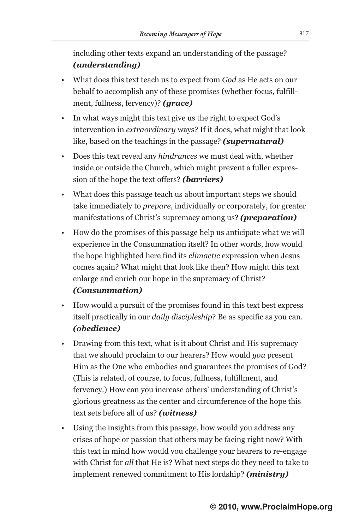including other texts expand an understanding of the passage? *(understanding)*

- What does this text teach us to expect from *God* as He acts on our behalf to accomplish any of these promises (whether focus, fulfillment, fullness, fervency)? *(grace)*
- In what ways might this text give us the right to expect God's intervention in *extraordinary* ways? If it does, what might that look like, based on the teachings in the passage? *(supernatural)*
- Does this text reveal any *hindrances* we must deal with, whether inside or outside the Church, which might prevent a fuller expression of the hope the text offers? *(barriers)*
- What does this passage teach us about important steps we should take immediately to *prepare,* individually or corporately, for greater manifestations of Christ's supremacy among us? *(preparation)*
- How do the promises of this passage help us anticipate what we will experience in the Consummation itself? In other words, how would the hope highlighted here find its *climactic* expression when Jesus comes again? What might that look like then? How might this text enlarge and enrich our hope in the supremacy of Christ? *(Consummation)*
- How would a pursuit of the promises found in this text best express itself practically in our *daily discipleship*? Be as specific as you can. *(obedience)*
- Drawing from this text, what is it about Christ and His supremacy that we should proclaim to our hearers? How would *you* present Him as the One who embodies and guarantees the promises of God? (This is related, of course, to focus, fullness, fulfillment, and fervency.) How can you increase others' understanding of Christ's glorious greatness as the center and circumference of the hope this text sets before all of us? *(witness)*
- Using the insights from this passage, how would you address any crises of hope or passion that others may be facing right now? With this text in mind how would you challenge your hearers to re-engage with Christ for *all* that He is? What next steps do they need to take to implement renewed commitment to His lordship? *(ministry)*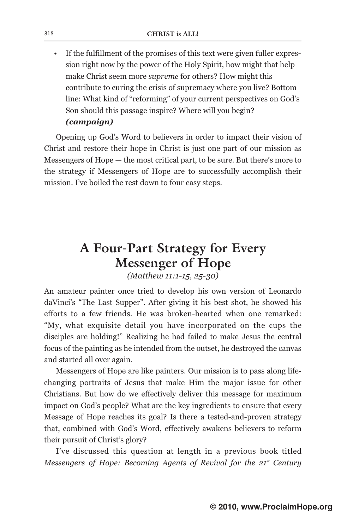• If the fulfillment of the promises of this text were given fuller expression right now by the power of the Holy Spirit, how might that help make Christ seem more *supreme* for others? How might this contribute to curing the crisis of supremacy where you live? Bottom line: What kind of "reforming" of your current perspectives on God's Son should this passage inspire? Where will you begin? *(campaign)*

Opening up God's Word to believers in order to impact their vision of Christ and restore their hope in Christ is just one part of our mission as Messengers of Hope — the most critical part, to be sure. But there's more to the strategy if Messengers of Hope are to successfully accomplish their mission. I've boiled the rest down to four easy steps.

# **A Four-Part Strategy for Every Messenger of Hope**

*(Matthew 11:1-15, 25-30)*

An amateur painter once tried to develop his own version of Leonardo daVinci's "The Last Supper". After giving it his best shot, he showed his efforts to a few friends. He was broken-hearted when one remarked: "My, what exquisite detail you have incorporated on the cups the disciples are holding!" Realizing he had failed to make Jesus the central focus of the painting as he intended from the outset, he destroyed the canvas and started all over again.

Messengers of Hope are like painters. Our mission is to pass along lifechanging portraits of Jesus that make Him the major issue for other Christians. But how do we effectively deliver this message for maximum impact on God's people? What are the key ingredients to ensure that every Message of Hope reaches its goal? Is there a tested-and-proven strategy that, combined with God's Word, effectively awakens believers to reform their pursuit of Christ's glory?

I've discussed this question at length in a previous book titled *Messengers of Hope: Becoming Agents of Revival for the 21st Century*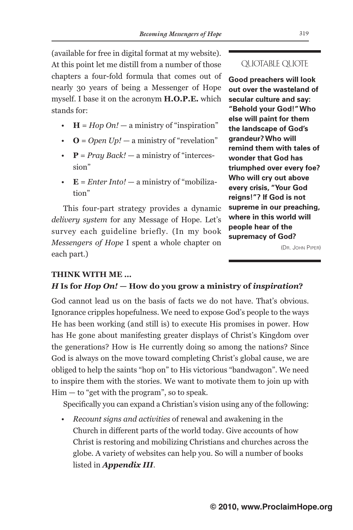(available for free in digital format at my website). At this point let me distill from a number of those chapters a four-fold formula that comes out of nearly 30 years of being a Messenger of Hope myself. I base it on the acronym **H.O.P.E.** which stands for:

- $H = Hop\ On!$  a ministry of "inspiration"
- $\mathbf{O} = \text{Open } \text{Up}! \text{a}$  ministry of "revelation"
- **P** = *Pray Back!* a ministry of "intercession"
- **E** = *Enter Into!* a ministry of "mobilization"

This four-part strategy provides a dynamic *delivery system* for any Message of Hope. Let's survey each guideline briefly. (In my book *Messengers of Hope* I spent a whole chapter on each part.)

#### QUOTABLE QUOTE

**Good preachers will look out over the wasteland of secular culture and say: "Behold your God!"Who else will paint for them the landscape of God's grandeur?Who will remind them with tales of wonder that God has triumphed over every foe? Who will cry out above every crisis, "Your God reigns!"? If God is not supreme in our preaching, where in this world will people hear of the supremacy of God?**

(DR. JOHN PIPER)

#### **THINK WITH ME …**

#### *H* **Is for** *Hop On!* **— How do you grow a ministry of** *inspiration***?**

God cannot lead us on the basis of facts we do not have. That's obvious. Ignorance cripples hopefulness. We need to expose God's people to the ways He has been working (and still is) to execute His promises in power. How has He gone about manifesting greater displays of Christ's Kingdom over the generations? How is He currently doing so among the nations? Since God is always on the move toward completing Christ's global cause, we are obliged to help the saints "hop on" to His victorious "bandwagon". We need to inspire them with the stories. We want to motivate them to join up with Him — to "get with the program", so to speak.

Specifically you can expand a Christian's vision using any of the following:

• *Recount signs and activities* of renewal and awakening in the Church in different parts of the world today. Give accounts of how Christ is restoring and mobilizing Christians and churches across the globe. A variety of websites can help you. So will a number of books listed in *Appendix III*.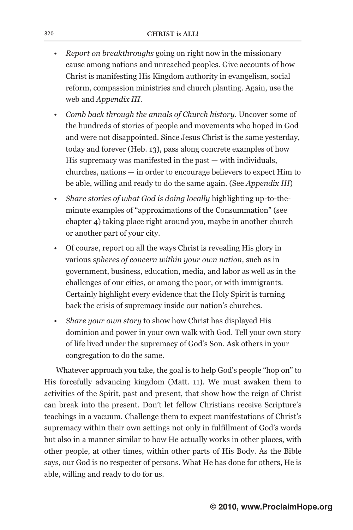- *Report on breakthroughs* going on right now in the missionary cause among nations and unreached peoples. Give accounts of how Christ is manifesting His Kingdom authority in evangelism, social reform, compassion ministries and church planting. Again, use the web and *Appendix III*.
- *Comb back through the annals of Church history.* Uncover some of the hundreds of stories of people and movements who hoped in God and were not disappointed. Since Jesus Christ is the same yesterday, today and forever (Heb. 13), pass along concrete examples of how His supremacy was manifested in the past — with individuals, churches, nations — in order to encourage believers to expect Him to be able, willing and ready to do the same again. (See *Appendix III*)
- *Share stories of what God is doing locally* highlighting up-to-theminute examples of "approximations of the Consummation" (see chapter 4) taking place right around you, maybe in another church or another part of your city.
- Of course, report on all the ways Christ is revealing His glory in various *spheres of concern within your own nation,* such as in government, business, education, media, and labor as well as in the challenges of our cities, or among the poor, or with immigrants. Certainly highlight every evidence that the Holy Spirit is turning back the crisis of supremacy inside our nation's churches.
- *Share your own story* to show how Christ has displayed His dominion and power in your own walk with God. Tell your own story of life lived under the supremacy of God's Son. Ask others in your congregation to do the same.

Whatever approach you take, the goal is to help God's people "hop on" to His forcefully advancing kingdom (Matt. 11). We must awaken them to activities of the Spirit, past and present, that show how the reign of Christ can break into the present. Don't let fellow Christians receive Scripture's teachings in a vacuum. Challenge them to expect manifestations of Christ's supremacy within their own settings not only in fulfillment of God's words but also in a manner similar to how He actually works in other places, with other people, at other times, within other parts of His Body. As the Bible says, our God is no respecter of persons. What He has done for others, He is able, willing and ready to do for us.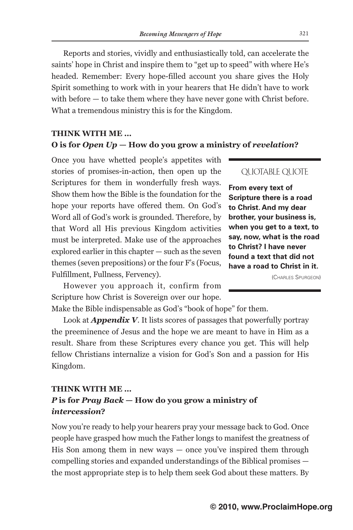Reports and stories, vividly and enthusiastically told, can accelerate the saints' hope in Christ and inspire them to "get up to speed" with where He's headed. Remember: Every hope-filled account you share gives the Holy Spirit something to work with in your hearers that He didn't have to work with before — to take them where they have never gone with Christ before. What a tremendous ministry this is for the Kingdom.

## **THINK WITH ME … O is for** *Open Up* **— How do you grow a ministry of** *revelation***?**

Once you have whetted people's appetites with stories of promises-in-action, then open up the Scriptures for them in wonderfully fresh ways. Show them how the Bible is the foundation for the hope your reports have offered them. On God's Word all of God's work is grounded. Therefore, by that Word all His previous Kingdom activities must be interpreted. Make use of the approaches explored earlier in this chapter — such as the seven themes (seven prepositions) or the four F's (Focus, Fulfillment, Fullness, Fervency).

However you approach it, confirm from Scripture how Christ is Sovereign over our hope.

#### QUOTABLE QUOTE

**From every text of Scripture there is a road to Christ. And my dear brother, your business is, when you get to a text, to say, now, what is the road to Christ? I have never found a text that did not have a road to Christ in it.**

(CHARLES SPURGEON)

Make the Bible indispensable as God's "book of hope" for them.

Look at *Appendix V*. It lists scores of passages that powerfully portray the preeminence of Jesus and the hope we are meant to have in Him as a result. Share from these Scriptures every chance you get. This will help fellow Christians internalize a vision for God's Son and a passion for His Kingdom.

# **THINK WITH ME …** *P* **is for** *Pray Back* **— How do you grow a ministry of** *intercession***?**

Now you're ready to help your hearers pray your message back to God. Once people have grasped how much the Father longs to manifest the greatness of His Son among them in new ways — once you've inspired them through compelling stories and expanded understandings of the Biblical promises the most appropriate step is to help them seek God about these matters. By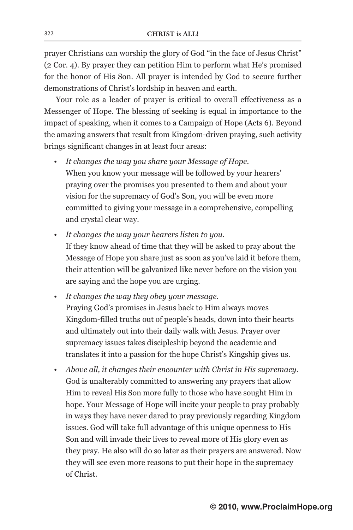prayer Christians can worship the glory of God "in the face of Jesus Christ" (2 Cor. 4). By prayer they can petition Him to perform what He's promised for the honor of His Son. All prayer is intended by God to secure further demonstrations of Christ's lordship in heaven and earth.

Your role as a leader of prayer is critical to overall effectiveness as a Messenger of Hope. The blessing of seeking is equal in importance to the impact of speaking, when it comes to a Campaign of Hope (Acts 6). Beyond the amazing answers that result from Kingdom-driven praying, such activity brings significant changes in at least four areas:

- *It changes the way you share your Message of Hope.* When you know your message will be followed by your hearers' praying over the promises you presented to them and about your vision for the supremacy of God's Son, you will be even more committed to giving your message in a comprehensive, compelling and crystal clear way.
- *It changes the way your hearers listen to you.* If they know ahead of time that they will be asked to pray about the Message of Hope you share just as soon as you've laid it before them, their attention will be galvanized like never before on the vision you are saying and the hope you are urging.
- *It changes the way they obey your message.* Praying God's promises in Jesus back to Him always moves Kingdom-filled truths out of people's heads, down into their hearts and ultimately out into their daily walk with Jesus. Prayer over supremacy issues takes discipleship beyond the academic and translates it into a passion for the hope Christ's Kingship gives us.
- *Above all, it changes their encounter with Christ in His supremacy.* God is unalterably committed to answering any prayers that allow Him to reveal His Son more fully to those who have sought Him in hope. Your Message of Hope will incite your people to pray probably in ways they have never dared to pray previously regarding Kingdom issues. God will take full advantage of this unique openness to His Son and will invade their lives to reveal more of His glory even as they pray. He also will do so later as their prayers are answered. Now they will see even more reasons to put their hope in the supremacy of Christ.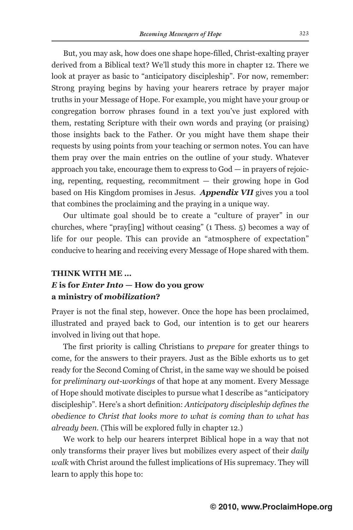But, you may ask, how does one shape hope-filled, Christ-exalting prayer derived from a Biblical text? We'll study this more in chapter 12. There we look at prayer as basic to "anticipatory discipleship". For now, remember: Strong praying begins by having your hearers retrace by prayer major truths in your Message of Hope. For example, you might have your group or congregation borrow phrases found in a text you've just explored with them, restating Scripture with their own words and praying (or praising) those insights back to the Father. Or you might have them shape their requests by using points from your teaching or sermon notes. You can have them pray over the main entries on the outline of your study. Whatever approach you take, encourage them to express to God — in prayers of rejoicing, repenting, requesting, recommitment — their growing hope in God based on His Kingdom promises in Jesus. *Appendix VII* gives you a tool that combines the proclaiming and the praying in a unique way.

Our ultimate goal should be to create a "culture of prayer" in our churches, where "pray[ing] without ceasing" (1 Thess. 5) becomes a way of life for our people. This can provide an "atmosphere of expectation" conducive to hearing and receiving every Message of Hope shared with them.

## **THINK WITH ME …** *E* **is for** *Enter Into* **— How do you grow a ministry of** *mobilization***?**

Prayer is not the final step, however. Once the hope has been proclaimed, illustrated and prayed back to God, our intention is to get our hearers involved in living out that hope.

The first priority is calling Christians to *prepare* for greater things to come, for the answers to their prayers. Just as the Bible exhorts us to get ready for the Second Coming of Christ, in the same way we should be poised for *preliminary out-workings* of that hope at any moment. Every Message of Hope should motivate disciples to pursue what I describe as "anticipatory discipleship". Here's a short definition: *Anticipatory discipleship defines the obedience to Christ that looks more to what is coming than to what has already been.* (This will be explored fully in chapter 12.)

We work to help our hearers interpret Biblical hope in a way that not only transforms their prayer lives but mobilizes every aspect of their *daily walk* with Christ around the fullest implications of His supremacy. They will learn to apply this hope to: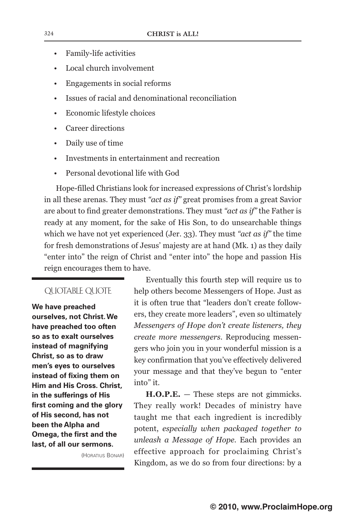- Family-life activities
- Local church involvement
- Engagements in social reforms
- Issues of racial and denominational reconciliation
- Economic lifestyle choices
- Career directions
- Daily use of time
- Investments in entertainment and recreation
- Personal devotional life with God

Hope-filled Christians look for increased expressions of Christ's lordship in all these arenas. They must *"act as if"* great promises from a great Savior are about to find greater demonstrations. They must *"act as if"* the Father is ready at any moment, for the sake of His Son, to do unsearchable things which we have not yet experienced (Jer. 33). They must *"act as if"* the time for fresh demonstrations of Jesus' majesty are at hand (Mk. 1) as they daily "enter into" the reign of Christ and "enter into" the hope and passion His reign encourages them to have.

#### QUOTABLE QUOTE

**We have preached ourselves, not Christ.We have preached too often so as to exalt ourselves instead of magnifying Christ, so as to draw men's eyes to ourselves instead of fixing them on Him and His Cross. Christ, in the sufferings of His first coming and the glory of His second, has not been the Alpha and Omega, the first and the last, of all our sermons.**

Eventually this fourth step will require us to help others become Messengers of Hope. Just as it is often true that "leaders don't create followers, they create more leaders", even so ultimately *Messengers of Hope don't create listeners, they create more messengers.* Reproducing messengers who join you in your wonderful mission is a key confirmation that you've effectively delivered your message and that they've begun to "enter into" it.

**H.O.P.E.** — These steps are not gimmicks. They really work! Decades of ministry have taught me that each ingredient is incredibly potent, *especially when packaged together to unleash a Message of Hope.* Each provides an effective approach for proclaiming Christ's Kingdom, as we do so from four directions: by a

(HORATIUS BONAR)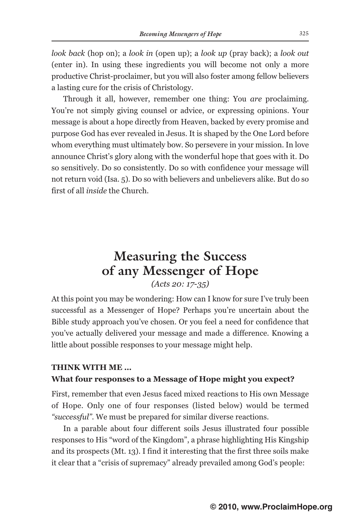*look back* (hop on); a *look in* (open up); a *look up* (pray back); a *look out* (enter in). In using these ingredients you will become not only a more productive Christ-proclaimer, but you will also foster among fellow believers a lasting cure for the crisis of Christology.

Through it all, however, remember one thing: You *are* proclaiming. You're not simply giving counsel or advice, or expressing opinions. Your message is about a hope directly from Heaven, backed by every promise and purpose God has ever revealed in Jesus. It is shaped by the One Lord before whom everything must ultimately bow. So persevere in your mission. In love announce Christ's glory along with the wonderful hope that goes with it. Do so sensitively. Do so consistently. Do so with confidence your message will not return void (Isa. 5). Do so with believers and unbelievers alike. But do so first of all *inside* the Church.

# **Measuring the Success of any Messenger of Hope**

*(Acts 20: 17-35)*

At this point you may be wondering: How can I know for sure I've truly been successful as a Messenger of Hope? Perhaps you're uncertain about the Bible study approach you've chosen. Or you feel a need for confidence that you've actually delivered your message and made a difference. Knowing a little about possible responses to your message might help.

#### **THINK WITH ME … What four responses to a Message of Hope might you expect?**

First, remember that even Jesus faced mixed reactions to His own Message of Hope. Only one of four responses (listed below) would be termed *"successful"*. We must be prepared for similar diverse reactions.

In a parable about four different soils Jesus illustrated four possible responses to His "word of the Kingdom", a phrase highlighting His Kingship and its prospects (Mt. 13). I find it interesting that the first three soils make it clear that a "crisis of supremacy" already prevailed among God's people: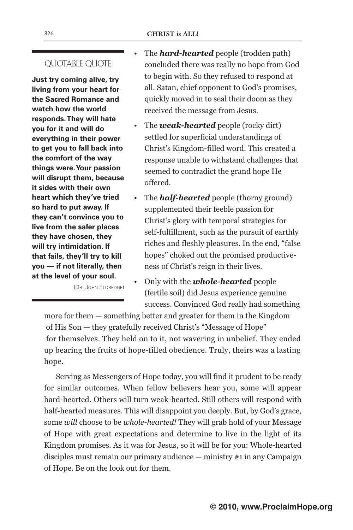#### QUOTABLE QUOTE

**Just try coming alive, try living from your heart for the Sacred Romance and watch how the world responds.They will hate you for it and will do everything in their power to get you to fall back into the comfort of the way things were.Your passion will disrupt them, because it sides with their own heart which they've tried so hard to put away. If they can't convince you to live from the safer places they have chosen, they will try intimidation. If that fails, they'll try to kill you — if not literally, then at the level of your soul.**

(DR. JOHN ELDREDGE)

- The *hard-hearted* people (trodden path) concluded there was really no hope from God to begin with. So they refused to respond at all. Satan, chief opponent to God's promises, quickly moved in to seal their doom as they received the message from Jesus.
- The *weak-hearted* people (rocky dirt) settled for superficial understandings of Christ's Kingdom-filled word. This created a response unable to withstand challenges that seemed to contradict the grand hope He offered.
- The *half-hearted* people (thorny ground) supplemented their feeble passion for Christ's glory with temporal strategies for self-fulfillment, such as the pursuit of earthly riches and fleshly pleasures. In the end, "false hopes" choked out the promised productiveness of Christ's reign in their lives.
- Only with the *whole-hearted* people (fertile soil) did Jesus experience genuine success. Convinced God really had something

more for them — something better and greater for them in the Kingdom of His Son — they gratefully received Christ's "Message of Hope" for themselves. They held on to it, not wavering in unbelief. They ended up bearing the fruits of hope-filled obedience. Truly, theirs was a lasting hope.

Serving as Messengers of Hope today, you will find it prudent to be ready for similar outcomes. When fellow believers hear you, some will appear hard-hearted. Others will turn weak-hearted. Still others will respond with half-hearted measures. This will disappoint you deeply. But, by God's grace, some *will* choose to be *whole-hearted!* They will grab hold of your Message of Hope with great expectations and determine to live in the light of its Kingdom promises. As it was for Jesus, so it will be for you: Whole-hearted disciples must remain our primary audience — ministry #1 in any Campaign of Hope. Be on the look out for them.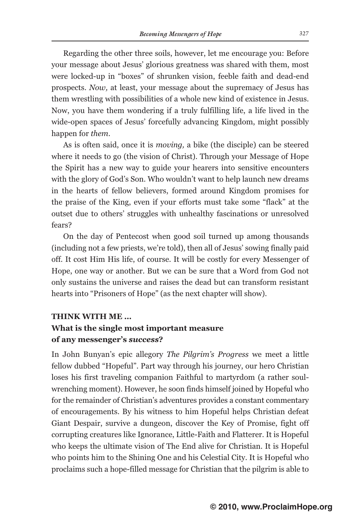Regarding the other three soils, however, let me encourage you: Before your message about Jesus' glorious greatness was shared with them, most were locked-up in "boxes" of shrunken vision, feeble faith and dead-end prospects. *Now,* at least, your message about the supremacy of Jesus has them wrestling with possibilities of a whole new kind of existence in Jesus. Now, you have them wondering if a truly fulfilling life, a life lived in the wide-open spaces of Jesus' forcefully advancing Kingdom, might possibly happen for *them*.

As is often said, once it is *moving,* a bike (the disciple) can be steered where it needs to go (the vision of Christ). Through your Message of Hope the Spirit has a new way to guide your hearers into sensitive encounters with the glory of God's Son. Who wouldn't want to help launch new dreams in the hearts of fellow believers, formed around Kingdom promises for the praise of the King, even if your efforts must take some "flack" at the outset due to others' struggles with unhealthy fascinations or unresolved fears?

On the day of Pentecost when good soil turned up among thousands (including not a few priests, we're told), then all of Jesus' sowing finally paid off. It cost Him His life, of course. It will be costly for every Messenger of Hope, one way or another. But we can be sure that a Word from God not only sustains the universe and raises the dead but can transform resistant hearts into "Prisoners of Hope" (as the next chapter will show).

#### **THINK WITH ME …**

## **What is the single most important measure of any messenger's** *success***?**

In John Bunyan's epic allegory *The Pilgrim's Progress* we meet a little fellow dubbed "Hopeful". Part way through his journey, our hero Christian loses his first traveling companion Faithful to martyrdom (a rather soulwrenching moment). However, he soon finds himself joined by Hopeful who for the remainder of Christian's adventures provides a constant commentary of encouragements. By his witness to him Hopeful helps Christian defeat Giant Despair, survive a dungeon, discover the Key of Promise, fight off corrupting creatures like Ignorance, Little-Faith and Flatterer. It is Hopeful who keeps the ultimate vision of The End alive for Christian. It is Hopeful who points him to the Shining One and his Celestial City. It is Hopeful who proclaims such a hope-filled message for Christian that the pilgrim is able to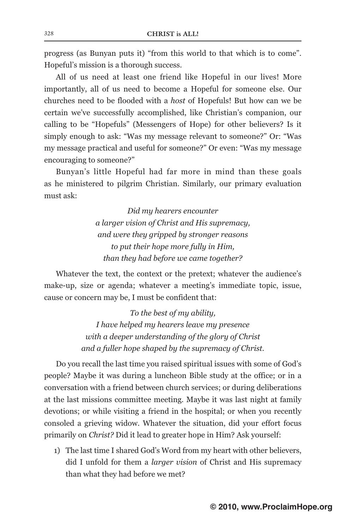progress (as Bunyan puts it) "from this world to that which is to come". Hopeful's mission is a thorough success.

All of us need at least one friend like Hopeful in our lives! More importantly, all of us need to become a Hopeful for someone else. Our churches need to be flooded with a *host* of Hopefuls! But how can we be certain we've successfully accomplished, like Christian's companion, our calling to be "Hopefuls" (Messengers of Hope) for other believers? Is it simply enough to ask: "Was my message relevant to someone?" Or: "Was my message practical and useful for someone?" Or even: "Was my message encouraging to someone?"

Bunyan's little Hopeful had far more in mind than these goals as he ministered to pilgrim Christian. Similarly, our primary evaluation must ask:

> *Did my hearers encounter a larger vision of Christ and His supremacy, and were they gripped by stronger reasons to put their hope more fully in Him, than they had before we came together?*

Whatever the text, the context or the pretext; whatever the audience's make-up, size or agenda; whatever a meeting's immediate topic, issue, cause or concern may be, I must be confident that:

> *To the best of my ability, I have helped my hearers leave my presence with a deeper understanding of the glory of Christ and a fuller hope shaped by the supremacy of Christ.*

Do you recall the last time you raised spiritual issues with some of God's people? Maybe it was during a luncheon Bible study at the office; or in a conversation with a friend between church services; or during deliberations at the last missions committee meeting. Maybe it was last night at family devotions; or while visiting a friend in the hospital; or when you recently consoled a grieving widow. Whatever the situation, did your effort focus primarily on *Christ?* Did it lead to greater hope in Him? Ask yourself:

1) The last time I shared God's Word from my heart with other believers, did I unfold for them a *larger vision* of Christ and His supremacy than what they had before we met?